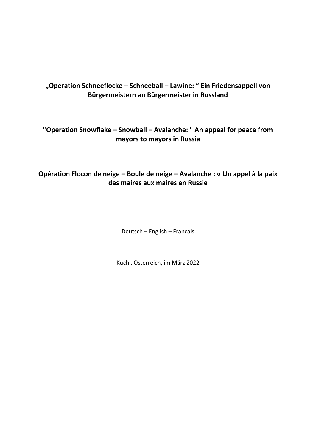# **"Operation Schneeflocke – Schneeball – Lawine: " Ein Friedensappell von Bürgermeistern an Bürgermeister in Russland**

# **"Operation Snowflake – Snowball – Avalanche: " An appeal for peace from mayors to mayors in Russia**

# **Opération Flocon de neige – Boule de neige – Avalanche : « Un appel à la paix des maires aux maires en Russie**

Deutsch – English – Francais

Kuchl, Österreich, im März 2022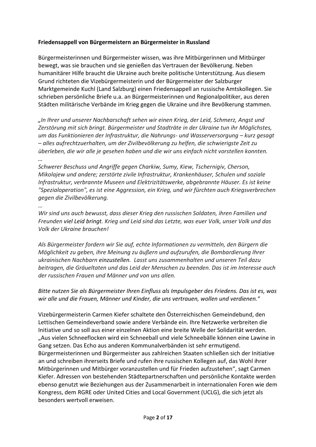### **Friedensappell von Bürgermeistern an Bürgermeister in Russland**

Bürgermeisterinnen und Bürgermeister wissen, was ihre Mitbürgerinnen und Mitbürger bewegt, was sie brauchen und sie genießen das Vertrauen der Bevölkerung. Neben humanitärer Hilfe braucht die Ukraine auch breite politische Unterstützung. Aus diesem Grund richteten die Vizebürgermeisterin und der Bürgermeister der Salzburger Marktgemeinde Kuchl (Land Salzburg) einen Friedensappell an russische Amtskollegen. Sie schrieben persönliche Briefe u.a. an Bürgermeisterinnen und Regionalpolitiker, aus deren Städten militärische Verbände im Krieg gegen die Ukraine und ihre Bevölkerung stammen.

*"In Ihrer und unserer Nachbarschaft sehen wir einen Krieg, der Leid, Schmerz, Angst und Zerstörung mit sich bringt. Bürgermeister und Stadträte in der Ukraine tun ihr Möglichstes, um das Funktionieren der Infrastruktur, die Nahrungs- und Wasserversorgung – kurz gesagt – alles aufrechtzuerhalten, um der Zivilbevölkerung zu helfen, die schwierigste Zeit zu überleben, die wir alle je gesehen haben und die wir uns einfach nicht vorstellen konnten. …* 

*Schwerer Beschuss und Angriffe gegen Charkiw, Sumy, Kiew, Tschernigiv, Cherson, Mikolajew und andere; zerstörte zivile Infrastruktur, Krankenhäuser, Schulen und soziale Infrastruktur, verbrannte Museen und Elektrizitätswerke, abgebrannte Häuser. Es ist keine "Spezialoperation", es ist eine Aggression, ein Krieg, und wir fürchten auch Kriegsverbrechen gegen die Zivilbevölkerung.* 

*…* 

*Wir sind uns auch bewusst, dass dieser Krieg den russischen Soldaten, ihren Familien und Freunden viel Leid bringt. Krieg und Leid sind das Letzte, was euer Volk, unser Volk und das Volk der Ukraine brauchen!*

*Als Bürgermeister fordern wir Sie auf, echte Informationen zu vermitteln, den Bürgern die Möglichkeit zu geben, ihre Meinung zu äußern und aufzurufen, die Bombardierung Ihrer ukrainischen Nachbarn einzustellen. Lasst uns zusammenhalten und unseren Teil dazu beitragen, die Gräueltaten und das Leid der Menschen zu beenden. Das ist im Interesse auch der russischen Frauen und Männer und von uns allen.*

### *Bitte nutzen Sie als Bürgermeister Ihren Einfluss als Impulsgeber des Friedens. Das ist es, was wir alle und die Frauen, Männer und Kinder, die uns vertrauen, wollen und verdienen.*"

Vizebürgermeisterin Carmen Kiefer schaltete den Österreichischen Gemeindebund, den Lettischen Gemeindeverband sowie andere Verbände ein. Ihre Netzwerke verbreiten die Initiative und so soll aus einer einzelnen Aktion eine breite Welle der Solidarität werden. "Aus vielen Schneeflocken wird ein Schneeball und viele Schneebälle können eine Lawine in Gang setzen. Das Echo aus anderen Kommunalverbänden ist sehr ermutigend. Bürgermeisterinnen und Bürgermeister aus zahlreichen Staaten schließen sich der Initiative an und schreiben ihrerseits Briefe und rufen ihre russischen Kollegen auf, das Wohl ihrer Mitbürgerinnen und Mitbürger voranzustellen und für Frieden aufzustehen", sagt Carmen Kiefer. Adressen von bestehenden Städtepartnerschaften und persönliche Kontakte werden ebenso genutzt wie Beziehungen aus der Zusammenarbeit in internationalen Foren wie dem Kongress, dem RGRE oder United Cities and Local Government (UCLG), die sich jetzt als besonders wertvoll erweisen.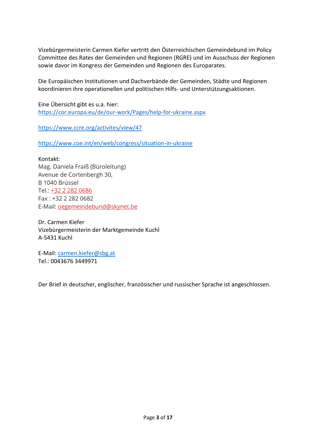Vizebürgermeisterin Carmen Kiefer vertritt den Österreichischen Gemeindebund im Policy Committee des Rates der Gemeinden und Regionen (RGRE) und im Ausschuss der Regionen sowie davor im Kongress der Gemeinden und Regionen des Europarates.

Die Europäischen Institutionen und Dachverbände der Gemeinden, Städte und Regionen koordinieren ihre operationellen und politischen Hilfs- und Unterstützungsaktionen.

Eine Übersicht gibt es u.a. hier: <https://cor.europa.eu/de/our-work/Pages/help-for-ukraine.aspx>

<https://www.ccre.org/activites/view/47>

<https://www.coe.int/en/web/congress/situation-in-ukraine>

Kontakt: Mag. Daniela Fraiß (Büroleitung) Avenue de Cortenbergh 30, B 1040 Brüssel Tel.: [+32 2 282 0686](tel:003222820686) Fax : +32 2 282 0682 E-Mail: [oegemeindebund@skynet.be](mailto:oegemeindebund@skynet.be)

Dr. Carmen Kiefer Vizebürgermeisterin der Marktgemeinde Kuchl A-5431 Kuchl

E-Mail: [carmen.kiefer@sbg.at](mailto:carmen.kiefer@sbg.at) Tel.: 0043676 3449971

Der Brief in deutscher, englischer, französischer und russischer Sprache ist angeschlossen.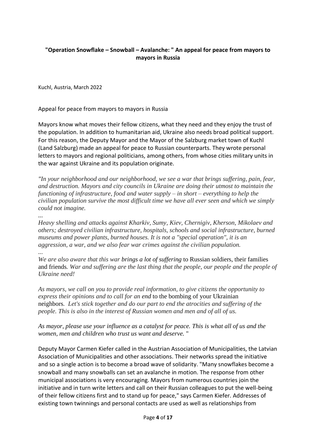### **"Operation Snowflake – Snowball – Avalanche: " An appeal for peace from mayors to mayors in Russia**

Kuchl, Austria, March 2022

Appeal for peace from mayors to mayors in Russia

Mayors know what moves their fellow citizens, what they need and they enjoy the trust of the population. In addition to humanitarian aid, Ukraine also needs broad political support. For this reason, the Deputy Mayor and the Mayor of the Salzburg market town of Kuchl (Land Salzburg) made an appeal for peace to Russian counterparts. They wrote personal letters to mayors and regional politicians, among others, from whose cities military units in the war against Ukraine and its population originate.

*"In your neighborhood and our neighborhood, we see a war that brings suffering, pain, fear, and destruction. Mayors and city councils in Ukraine are doing their utmost to maintain the functioning of infrastructure, food and water supply – in short – everything to help the civilian population survive the most difficult time we have all ever seen and which we simply could not imagine.*

*...* 

*Heavy shelling and attacks against Kharkiv, Sumy, Kiev, Chernigiv, Kherson, Mikolaev and others; destroyed civilian infrastructure, hospitals, schools and social infrastructure, burned museums and power plants, burned houses. It is not a "special operation", it is an aggression, a war, and we also fear war crimes against the civilian population.* 

*...* 

*We are also aware that this war brings a lot of suffering* to Russian soldiers, their families and friends*. War and suffering are the last thing that the people, our people and the people of Ukraine need!*

*As mayors, we call on you to provide real information, to give citizens the opportunity to express their opinions and to call for an end* to the bombing of your Ukrainian neighbors*. Let's stick together and do our part to end the atrocities and suffering of the people. This is also in the interest of Russian women and men and of all of us.*

*As mayor, please use your influence as a catalyst for peace. This is what all of us and the women, men and children who trust us want and deserve.* "

Deputy Mayor Carmen Kiefer called in the Austrian Association of Municipalities, the Latvian Association of Municipalities and other associations. Their networks spread the initiative and so a single action is to become a broad wave of solidarity. "Many snowflakes become a snowball and many snowballs can set an avalanche in motion. The response from other municipal associations is very encouraging. Mayors from numerous countries join the initiative and in turn write letters and call on their Russian colleagues to put the well-being of their fellow citizens first and to stand up for peace," says Carmen Kiefer. Addresses of existing town twinnings and personal contacts are used as well as relationships from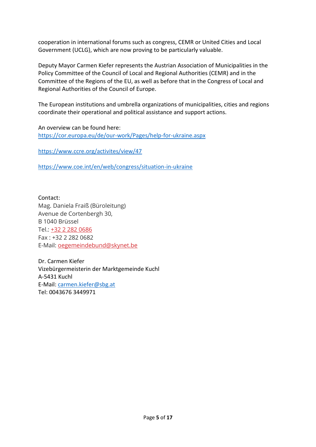cooperation in international forums such as congress, CEMR or United Cities and Local Government (UCLG), which are now proving to be particularly valuable.

Deputy Mayor Carmen Kiefer represents the Austrian Association of Municipalities in the Policy Committee of the Council of Local and Regional Authorities (CEMR) and in the Committee of the Regions of the EU, as well as before that in the Congress of Local and Regional Authorities of the Council of Europe.

The European institutions and umbrella organizations of municipalities, cities and regions coordinate their operational and political assistance and support actions.

An overview can be found here: <https://cor.europa.eu/de/our-work/Pages/help-for-ukraine.aspx>

<https://www.ccre.org/activites/view/47>

<https://www.coe.int/en/web/congress/situation-in-ukraine>

Contact: Mag. Daniela Fraiß (Büroleitung) Avenue de Cortenbergh 30, B 1040 Brüssel Tel.: [+32 2 282 0686](tel:003222820686) Fax : +32 2 282 0682 E-Mail: [oegemeindebund@skynet.be](mailto:oegemeindebund@skynet.be)

Dr. Carmen Kiefer Vizebürgermeisterin der Marktgemeinde Kuchl A-5431 Kuchl E-Mail: [carmen.kiefer@sbg.at](mailto:carmen.kiefer@sbg.at) Tel: 0043676 3449971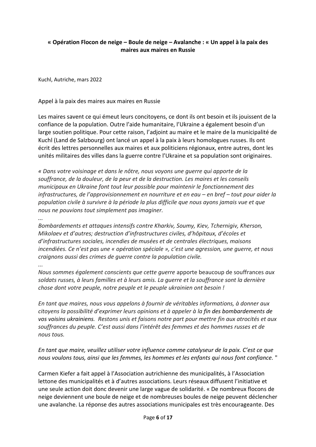### **« Opération Flocon de neige – Boule de neige – Avalanche : « Un appel à la paix des maires aux maires en Russie**

Kuchl, Autriche, mars 2022

Appel à la paix des maires aux maires en Russie

Les maires savent ce qui émeut leurs concitoyens, ce dont ils ont besoin et ils jouissent de la confiance de la population. Outre l'aide humanitaire, l'Ukraine a également besoin d'un large soutien politique. Pour cette raison, l'adjoint au maire et le maire de la municipalité de Kuchl (Land de Salzbourg) ont lancé un appel à la paix à leurs homologues russes. Ils ont écrit des lettres personnelles aux maires et aux politiciens régionaux, entre autres, dont les unités militaires des villes dans la guerre contre l'Ukraine et sa population sont originaires.

*« Dans votre voisinage et dans le nôtre, nous voyons une guerre qui apporte de la souffrance, de la douleur, de la peur et de la destruction. Les maires et les conseils municipaux en Ukraine font tout leur possible pour maintenir le fonctionnement des infrastructures, de l'approvisionnement en nourriture et en eau – en bref – tout pour aider la population civile à survivre à la période la plus difficile que nous ayons jamais vue et que nous ne pouvions tout simplement pas imaginer.*

*...* 

*Bombardements et attaques intensifs contre Kharkiv, Soumy, Kiev, Tchernigiv, Kherson, Mikolaev et d'autres; destruction d'infrastructures civiles, d'hôpitaux, d'écoles et d'infrastructures sociales, incendies de musées et de centrales électriques, maisons incendiées. Ce n'est pas une « opération spéciale », c'est une agression, une guerre, et nous craignons aussi des crimes de guerre contre la population civile.* 

*...* 

*Nous sommes également conscients que cette guerre* apporte beaucoup de souffrances *aux soldats russes, à leurs familles et à leurs amis. La guerre et la souffrance sont la dernière chose dont votre peuple, notre peuple et le peuple ukrainien ont besoin !*

*En tant que maires, nous vous appelons à fournir de véritables informations, à donner aux citoyens la possibilité d'exprimer leurs opinions et à appeler à la fin des bombardements de vos voisins ukrainiens. Restons unis et faisons notre part pour mettre fin aux atrocités et aux souffrances du peuple. C'est aussi dans l'intérêt des femmes et des hommes russes et de nous tous.*

*En tant que maire, veuillez utiliser votre influence comme catalyseur de la paix. C'est ce que nous voulons tous, ainsi que les femmes, les hommes et les enfants qui nous font confiance.* "

Carmen Kiefer a fait appel à l'Association autrichienne des municipalités, à l'Association lettone des municipalités et à d'autres associations. Leurs réseaux diffusent l'initiative et une seule action doit donc devenir une large vague de solidarité. « De nombreux flocons de neige deviennent une boule de neige et de nombreuses boules de neige peuvent déclencher une avalanche. La réponse des autres associations municipales est très encourageante. Des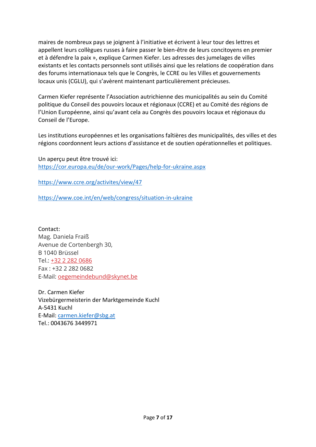maires de nombreux pays se joignent à l'initiative et écrivent à leur tour des lettres et appellent leurs collègues russes à faire passer le bien-être de leurs concitoyens en premier et à défendre la paix », explique Carmen Kiefer. Les adresses des jumelages de villes existants et les contacts personnels sont utilisés ainsi que les relations de coopération dans des forums internationaux tels que le Congrès, le CCRE ou les Villes et gouvernements locaux unis (CGLU), qui s'avèrent maintenant particulièrement précieuses.

Carmen Kiefer représente l'Association autrichienne des municipalités au sein du Comité politique du Conseil des pouvoirs locaux et régionaux (CCRE) et au Comité des régions de l'Union Européenne, ainsi qu'avant cela au Congrès des pouvoirs locaux et régionaux du Conseil de l'Europe.

Les institutions européennes et les organisations faîtières des municipalités, des villes et des régions coordonnent leurs actions d'assistance et de soutien opérationnelles et politiques.

Un aperçu peut être trouvé ici: <https://cor.europa.eu/de/our-work/Pages/help-for-ukraine.aspx>

<https://www.ccre.org/activites/view/47>

<https://www.coe.int/en/web/congress/situation-in-ukraine>

Contact: Mag. Daniela Fraiß Avenue de Cortenbergh 30, B 1040 Brüssel Tel.: [+32 2 282 0686](tel:003222820686) Fax : +32 2 282 0682 E-Mail: [oegemeindebund@skynet.be](mailto:oegemeindebund@skynet.be)

Dr. Carmen Kiefer Vizebürgermeisterin der Marktgemeinde Kuchl A-5431 Kuchl E-Mail: [carmen.kiefer@sbg.at](mailto:carmen.kiefer@sbg.at) Tel.: 0043676 3449971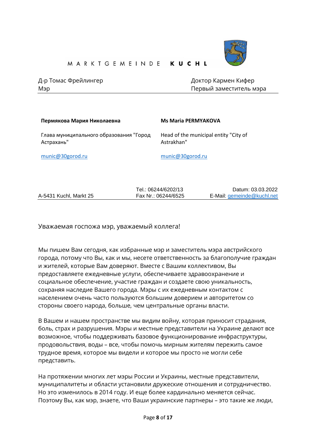

Д-р Томас Фрейлингер Индивидиев Доктор Кармен Кифер

Мэр Первый заместитель мэра

| Пермякова Мария Николаевна                            | <b>Ms Maria PERMYAKOVA</b>                          |
|-------------------------------------------------------|-----------------------------------------------------|
| Глава муниципального образования "Город<br>Астрахань" | Head of the municipal entity "City of<br>Astrakhan" |
| munic@30gorod.ru                                      | munic@30gorod.ru                                    |
|                                                       |                                                     |

|                        | Tel.: 06244/6202/13 | Datum: 03.03.2022          |
|------------------------|---------------------|----------------------------|
| A-5431 Kuchl, Markt 25 | Fax Nr.: 06244/6525 | E-Mail: gemeinde@kuchl.net |

Уважаемая госпожа мэр, уважаемый коллега!

Мы пишем Bам сегодня, как избранные мэр и заместитель мэра австрийского города, потому что Вы, как и мы, несете ответственность за благополучие граждан и жителей, которые Вам доверяют. Вместе с Вашим коллективом, Вы предоставляете ежедневные услуги, обеспечиваете здравоохранение и социальное обеспечение, участие граждан и создаете свою уникальность, сохраняя наследие Вашего города. Мэры с их ежедневным контактом с населением очень часто пользуются большим доверием и авторитетом со стороны своего народа, больше, чем центральные органы власти.

В Вашем и нашем пространстве мы видим войну, которая приносит страдания, боль, страх и разрушения. Мэры и местные представители на Украине делают все возможное, чтобы поддерживать базовое функционирование инфраструктуры, продовольствия, воды – все, чтобы помочь мирным жителям пережить самое трудное время, которое мы видели и которое мы просто не могли себе представить.

На протяжении многих лет мэры России и Украины, местные представители, муниципалитеты и области установили дружеские отношения и сотрудничество. Но это изменилось в 2014 году. И еще более кардинально меняется сейчас. Поэтому Вы, как мэр, знаете, что Ваши украинские партнеры – это такие же люди,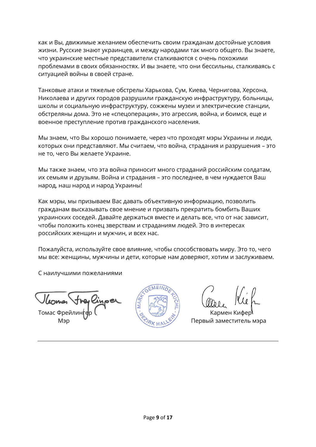как и Вы, движимые желанием обеспечить своим гражданам достойные условия жизни. Русские знают украинцев, и между народами так много общего. Вы знаете, что украинские местные представители сталкиваются с очень похожими проблемами в своих обязанностях. И вы знаете, что они бессильны, сталкиваясь с ситуацией войны в своей стране.

Танковые атаки и тяжелые обстрелы Харькова, Сум, Киева, Чернигова, Херсона, Николаева и других городов разрушили гражданскую инфраструктуру, больницы, школы и социальную инфраструктуру, сожжены музеи и электрические станции, обстреляны дома. Это не «спецоперация», это агрессия, война, и боимся, еще и военное преступление против гражданского населения.

Мы знаем, что Вы хорошо понимаете, через что проходят мэры Украины и люди, которых они представляют. Мы считаем, что война, страдания и разрушения – это не то, чего Вы желаете Украине.

Мы также знаем, что эта война приносит много страданий российским солдатам, их семьям и друзьям. Война и страдания – это последнее, в чем нуждается Ваш народ, наш народ и народ Украины!

Как мэры, мы призываем Вас давать объективную информацию, позволить гражданам высказывать свое мнение и призвать прекратить бомбить Ваших украинских соседей. Давайте держаться вместе и делать все, что от нас зависит, чтобы положить конец зверствам и страданиям людей. Это в интересах российских женщин и мужчин, и всех нас.

Пожалуйста, используйте свое влияние, чтобы способствовать миру. Это то, чего мы все: женщины, мужчины и дети, которые нам доверяют, хотим и заслуживаем.

С наилучшими пожеланиями

Томас Фрейлингер ( Кармен Кифер Кармен Кифер **Кармен Кифер** 



Мэр Мэр Мэр Первый заместитель мэра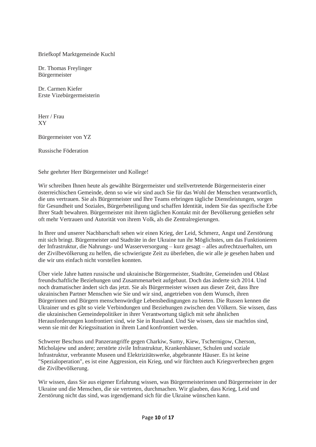Briefkopf Marktgemeinde Kuchl

Dr. Thomas Freylinger Bürgermeister

Dr. Carmen Kiefer Erste Vizebürgermeisterin

Herr / Frau XY

Bürgermeister von YZ

Russische Föderation

Sehr geehrter Herr Bürgermeister und Kollege!

Wir schreiben Ihnen heute als gewählte Bürgermeister und stellvertretende Bürgermeisterin einer österreichischen Gemeinde, denn so wie wir sind auch Sie für das Wohl der Menschen verantwortlich, die uns vertrauen. Sie als Bürgermeister und Ihre Teams erbringen tägliche Dienstleistungen, sorgen für Gesundheit und Soziales, Bürgerbeteiligung und schaffen Identität, indem Sie das spezifische Erbe Ihrer Stadt bewahren. Bürgermeister mit ihrem täglichen Kontakt mit der Bevölkerung genießen sehr oft mehr Vertrauen und Autorität von ihrem Volk, als die Zentralregierungen.

In Ihrer und unserer Nachbarschaft sehen wir einen Krieg, der Leid, Schmerz, Angst und Zerstörung mit sich bringt. Bürgermeister und Stadträte in der Ukraine tun ihr Möglichstes, um das Funktionieren der Infrastruktur, die Nahrungs- und Wasserversorgung – kurz gesagt – alles aufrechtzuerhalten, um der Zivilbevölkerung zu helfen, die schwierigste Zeit zu überleben, die wir alle je gesehen haben und die wir uns einfach nicht vorstellen konnten.

Über viele Jahre hatten russische und ukrainische Bürgermeister, Stadträte, Gemeinden und Oblast freundschaftliche Beziehungen und Zusammenarbeit aufgebaut. Doch das änderte sich 2014. Und noch dramatischer ändert sich das jetzt. Sie als Bürgermeister wissen aus dieser Zeit, dass Ihre ukrainischen Partner Menschen wie Sie und wir sind, angetrieben von dem Wunsch, ihren Bürgerinnen und Bürgern menschenwürdige Lebensbedingungen zu bieten. Die Russen kennen die Ukrainer und es gibt so viele Verbindungen und Beziehungen zwischen den Völkern. Sie wissen, dass die ukrainischen Gemeindepolitiker in ihrer Verantwortung täglich mit sehr ähnlichen Herausforderungen konfrontiert sind, wie Sie in Russland. Und Sie wissen, dass sie machtlos sind, wenn sie mit der Kriegssituation in ihrem Land konfrontiert werden.

Schwerer Beschuss und Panzerangriffe gegen Charkiw, Sumy, Kiew, Tschernigow, Cherson, Micholajew und andere; zerstörte zivile Infrastruktur, Krankenhäuser, Schulen und soziale Infrastruktur, verbrannte Museen und Elektrizitätswerke, abgebrannte Häuser. Es ist keine "Spezialoperation", es ist eine Aggression, ein Krieg, und wir fürchten auch Kriegsverbrechen gegen die Zivilbevölkerung.

Wir wissen, dass Sie aus eigener Erfahrung wissen, was Bürgermeisterinnen und Bürgermeister in der Ukraine und die Menschen, die sie vertreten, durchmachen. Wir glauben, dass Krieg, Leid und Zerstörung nicht das sind, was irgendjemand sich für die Ukraine wünschen kann.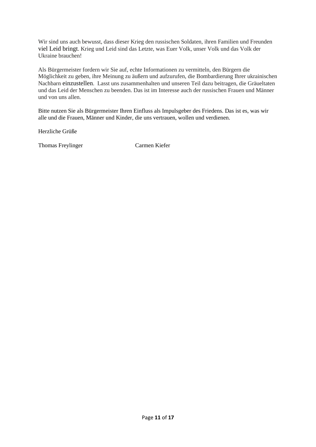Wir sind uns auch bewusst, dass dieser Krieg den russischen Soldaten, ihren Familien und Freunden viel Leid bringt. Krieg und Leid sind das Letzte, was Euer Volk, unser Volk und das Volk der Ukraine brauchen!

Als Bürgermeister fordern wir Sie auf, echte Informationen zu vermitteln, den Bürgern die Möglichkeit zu geben, ihre Meinung zu äußern und aufzurufen, die Bombardierung Ihrer ukrainischen Nachbarn einzustellen. Lasst uns zusammenhalten und unseren Teil dazu beitragen, die Gräueltaten und das Leid der Menschen zu beenden. Das ist im Interesse auch der russischen Frauen und Männer und von uns allen.

Bitte nutzen Sie als Bürgermeister Ihren Einfluss als Impulsgeber des Friedens. Das ist es, was wir alle und die Frauen, Männer und Kinder, die uns vertrauen, wollen und verdienen.

Herzliche Grüße

Thomas Freylinger Carmen Kiefer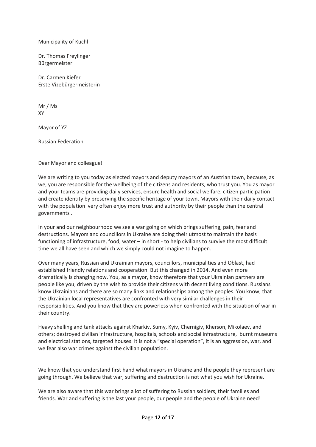Municipality of Kuchl

Dr. Thomas Freylinger Bürgermeister

Dr. Carmen Kiefer Erste Vizebürgermeisterin

Mr / Ms XY

Mayor of YZ

Russian Federation

Dear Mayor and colleague!

We are writing to you today as elected mayors and deputy mayors of an Austrian town, because, as we, you are responsible for the wellbeing of the citizens and residents, who trust you. You as mayor and your teams are providing daily services, ensure health and social welfare, citizen participation and create identity by preserving the specific heritage of your town. Mayors with their daily contact with the population very often enjoy more trust and authority by their people than the central governments .

In your and our neighbourhood we see a war going on which brings suffering, pain, fear and destructions. Mayors and councillors in Ukraine are doing their utmost to maintain the basis functioning of infrastructure, food, water – in short - to help civilians to survive the most difficult time we all have seen and which we simply could not imagine to happen.

Over many years, Russian and Ukrainian mayors, councillors, municipalities and Oblast, had established friendly relations and cooperation. But this changed in 2014. And even more dramatically is changing now. You, as a mayor, know therefore that your Ukrainian partners are people like you, driven by the wish to provide their citizens with decent living conditions. Russians know Ukrainians and there are so many links and relationships among the peoples. You know, that the Ukrainian local representatives are confronted with very similar challenges in their responsibilities. And you know that they are powerless when confronted with the situation of war in their country.

Heavy shelling and tank attacks against Kharkiv, Sumy, Kyiv, Chernigiv, Kherson, Mikolaev, and others; destroyed civilian infrastructure, hospitals, schools and social infrastructure,  burnt museums and electrical stations, targeted houses. It is not a "special operation", it is an aggression, war, and we fear also war crimes against the civilian population.

We know that you understand first hand what mayors in Ukraine and the people they represent are going through. We believe that war, suffering and destruction is not what you wish for Ukraine.

We are also aware that this war brings a lot of suffering to Russian soldiers, their families and friends. War and suffering is the last your people, our people and the people of Ukraine need!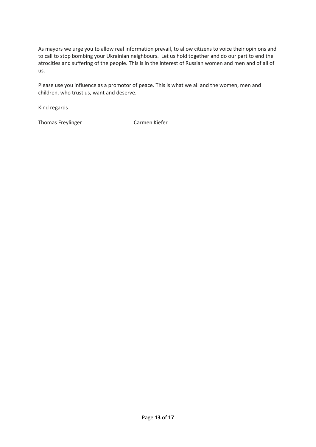As mayors we urge you to allow real information prevail, to allow citizens to voice their opinions and to call to stop bombing your Ukrainian neighbours. Let us hold together and do our part to end the atrocities and suffering of the people. This is in the interest of Russian women and men and of all of us.

Please use you influence as a promotor of peace. This is what we all and the women, men and children, who trust us, want and deserve.

Kind regards

Thomas Freylinger Carmen Kiefer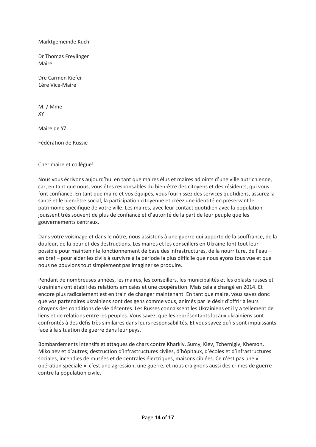Marktgemeinde Kuchl

Dr Thomas Freylinger Maire

Dre Carmen Kiefer 1ère Vice-Maire

M. / Mme XY

Maire de YZ

Fédération de Russie

Cher maire et collègue!

Nous vous écrivons aujourd'hui en tant que maires élus et maires adjoints d'une ville autrichienne, car, en tant que nous, vous êtes responsables du bien-être des citoyens et des résidents, qui vous font confiance. En tant que maire et vos équipes, vous fournissez des services quotidiens, assurez la santé et le bien-être social, la participation citoyenne et créez une identité en préservant le patrimoine spécifique de votre ville. Les maires, avec leur contact quotidien avec la population, jouissent très souvent de plus de confiance et d'autorité de la part de leur peuple que les gouvernements centraux.

Dans votre voisinage et dans le nôtre, nous assistons à une guerre qui apporte de la souffrance, de la douleur, de la peur et des destructions. Les maires et les conseillers en Ukraine font tout leur possible pour maintenir le fonctionnement de base des infrastructures, de la nourriture, de l'eau – en bref – pour aider les civils à survivre à la période la plus difficile que nous ayons tous vue et que nous ne pouvions tout simplement pas imaginer se produire.

Pendant de nombreuses années, les maires, les conseillers, les municipalités et les oblasts russes et ukrainiens ont établi des relations amicales et une coopération. Mais cela a changé en 2014. Et encore plus radicalement est en train de changer maintenant. En tant que maire, vous savez donc que vos partenaires ukrainiens sont des gens comme vous, animés par le désir d'offrir à leurs citoyens des conditions de vie décentes. Les Russes connaissent les Ukrainiens et il y a tellement de liens et de relations entre les peuples. Vous savez, que les représentants locaux ukrainiens sont confrontés à des défis très similaires dans leurs responsabilités. Et vous savez qu'ils sont impuissants face à la situation de guerre dans leur pays.

Bombardements intensifs et attaques de chars contre Kharkiv, Sumy, Kiev, Tchernigiv, Kherson, Mikolaev et d'autres; destruction d'infrastructures civiles, d'hôpitaux, d'écoles et d'infrastructures sociales, incendies de musées et de centrales électriques, maisons ciblées. Ce n'est pas une « opération spéciale », c'est une agression, une guerre, et nous craignons aussi des crimes de guerre contre la population civile.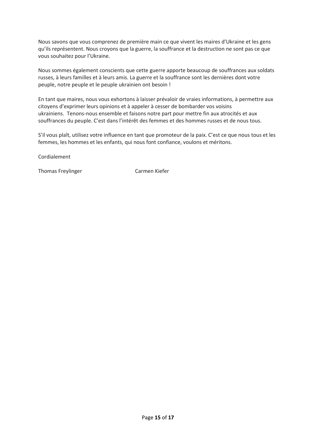Nous savons que vous comprenez de première main ce que vivent les maires d'Ukraine et les gens qu'ils représentent. Nous croyons que la guerre, la souffrance et la destruction ne sont pas ce que vous souhaitez pour l'Ukraine.

Nous sommes également conscients que cette guerre apporte beaucoup de souffrances aux soldats russes, à leurs familles et à leurs amis. La guerre et la souffrance sont les dernières dont votre peuple, notre peuple et le peuple ukrainien ont besoin !

En tant que maires, nous vous exhortons à laisser prévaloir de vraies informations, à permettre aux citoyens d'exprimer leurs opinions et à appeler à cesser de bombarder vos voisins ukrainiens. Tenons-nous ensemble et faisons notre part pour mettre fin aux atrocités et aux souffrances du peuple. C'est dans l'intérêt des femmes et des hommes russes et de nous tous.

S'il vous plaît, utilisez votre influence en tant que promoteur de la paix. C'est ce que nous tous et les femmes, les hommes et les enfants, qui nous font confiance, voulons et méritons.

Cordialement

Thomas Freylinger Carmen Kiefer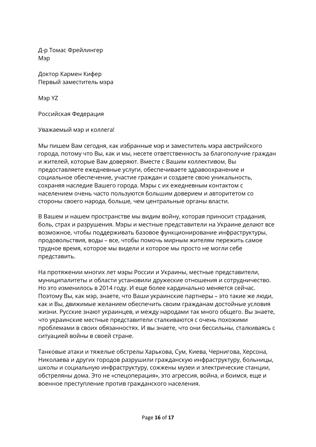Д-р Томас Фрейлингер Мэр

Доктор Кармен Кифер Первый заместитель мэра

Мэр YZ

Российская Федерация

Уважаемый мэр и коллега!

Мы пишем Bам сегодня, как избранные мэр и заместитель мэра австрийского города, потому что Вы, как и мы, несете ответственность за благополучие граждан и жителей, которые Вам доверяют. Вместе с Вашим коллективом, Вы предоставляете ежедневные услуги, обеспечиваете здравоохранение и социальное обеспечение, участие граждан и создаете свою уникальность, сохраняя наследие Вашего города. Мэры с их ежедневным контактом с населением очень часто пользуются большим доверием и авторитетом со стороны своего народа, больше, чем центральные органы власти.

В Вашем и нашем пространстве мы видим войну, которая приносит страдания, боль, страх и разрушения. Мэры и местные представители на Украине делают все возможное, чтобы поддерживать базовое функционирование инфраструктуры, продовольствия, воды – все, чтобы помочь мирным жителям пережить самое трудное время, которое мы видели и которое мы просто не могли себе представить.

На протяжении многих лет мэры России и Украины, местные представители, муниципалитеты и области установили дружеские отношения и сотрудничество. Но это изменилось в 2014 году. И еще более кардинально меняется сейчас. Поэтому Вы, как мэр, знаете, что Ваши украинские партнеры – это такие же люди, как и Вы, движимые желанием обеспечить своим гражданам достойные условия жизни. Русские знают украинцев, и между народами так много общего. Вы знаете, что украинские местные представители сталкиваются с очень похожими проблемами в своих обязанностях. И вы знаете, что они бессильны, сталкиваясь с ситуацией войны в своей стране.

Танковые атаки и тяжелые обстрелы Харькова, Сум, Киева, Чернигова, Херсона, Николаева и других городов разрушили гражданскую инфраструктуру, больницы, школы и социальную инфраструктуру, сожжены музеи и электрические станции, обстреляны дома. Это не «спецоперация», это агрессия, война, и боимся, еще и военное преступление против гражданского населения.